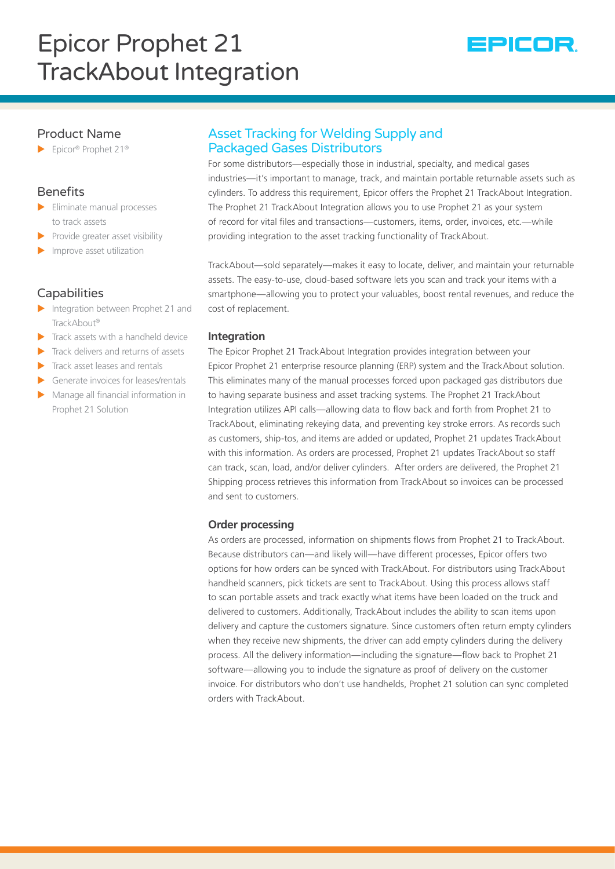# Epicor Prophet 21 TrackAbout Integration



## Product Name

 $\blacktriangleright$  Epicor® Prophet 21®

# **Benefits**

- $\blacktriangleright$  Eliminate manual processes to track assets
- Provide greater asset visibility
- Improve asset utilization

### **Capabilities**

- $\blacktriangleright$  Integration between Prophet 21 and TrackAbout®
- Track assets with a handheld device
- Track delivers and returns of assets
- Track asset leases and rentals
- Generate invoices for leases/rentals
- Manage all financial information in Prophet 21 Solution

# Asset Tracking for Welding Supply and Packaged Gases Distributors

For some distributors—especially those in industrial, specialty, and medical gases industries—it's important to manage, track, and maintain portable returnable assets such as cylinders. To address this requirement, Epicor offers the Prophet 21 TrackAbout Integration. The Prophet 21 TrackAbout Integration allows you to use Prophet 21 as your system of record for vital files and transactions—customers, items, order, invoices, etc.—while providing integration to the asset tracking functionality of TrackAbout.

TrackAbout—sold separately—makes it easy to locate, deliver, and maintain your returnable assets. The easy-to-use, cloud-based software lets you scan and track your items with a smartphone—allowing you to protect your valuables, boost rental revenues, and reduce the cost of replacement.

#### **Integration**

The Epicor Prophet 21 TrackAbout Integration provides integration between your Epicor Prophet 21 enterprise resource planning (ERP) system and the TrackAbout solution. This eliminates many of the manual processes forced upon packaged gas distributors due to having separate business and asset tracking systems. The Prophet 21 TrackAbout Integration utilizes API calls—allowing data to flow back and forth from Prophet 21 to TrackAbout, eliminating rekeying data, and preventing key stroke errors. As records such as customers, ship-tos, and items are added or updated, Prophet 21 updates TrackAbout with this information. As orders are processed, Prophet 21 updates TrackAbout so staff can track, scan, load, and/or deliver cylinders. After orders are delivered, the Prophet 21 Shipping process retrieves this information from TrackAbout so invoices can be processed and sent to customers.

#### **Order processing**

As orders are processed, information on shipments flows from Prophet 21 to TrackAbout. Because distributors can—and likely will—have different processes, Epicor offers two options for how orders can be synced with TrackAbout. For distributors using TrackAbout handheld scanners, pick tickets are sent to TrackAbout. Using this process allows staff to scan portable assets and track exactly what items have been loaded on the truck and delivered to customers. Additionally, TrackAbout includes the ability to scan items upon delivery and capture the customers signature. Since customers often return empty cylinders when they receive new shipments, the driver can add empty cylinders during the delivery process. All the delivery information—including the signature—flow back to Prophet 21 software—allowing you to include the signature as proof of delivery on the customer invoice. For distributors who don't use handhelds, Prophet 21 solution can sync completed orders with TrackAbout.